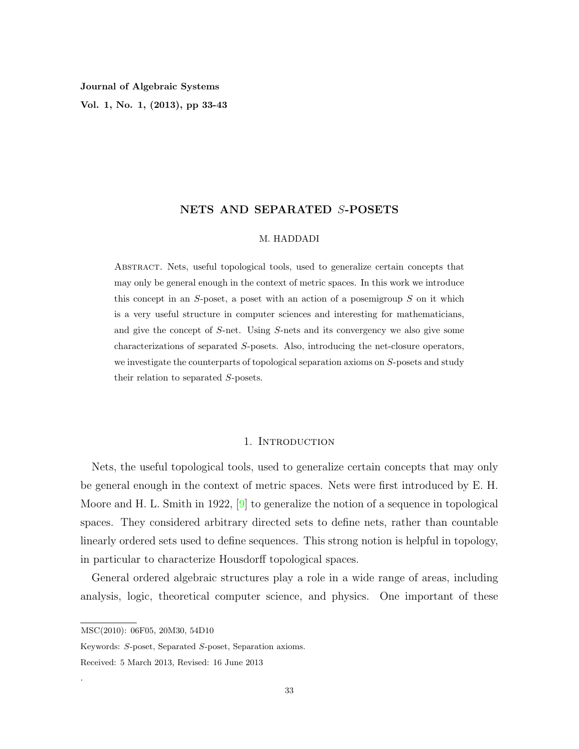**Vol. 1, No. 1, (2013), pp 33-43**

# **NETS AND SEPARATED** *S***-POSETS**

## M. HADDADI

Abstract. Nets, useful topological tools, used to generalize certain concepts that may only be general enough in the context of metric spaces. In this work we introduce this concept in an *S*-poset, a poset with an action of a posemigroup *S* on it which is a very useful structure in computer sciences and interesting for mathematicians, and give the concept of *S*-net. Using *S*-nets and its convergency we also give some characterizations of separated *S*-posets. Also, introducing the net-closure operators, we investigate the counterparts of topological separation axioms on *S*-posets and study their relation to separated *S*-posets.

# 1. INTRODUCTION

Nets, the useful topological tools, used to generalize certain concepts that may only be general enough in the context of metric spaces. Nets were first introduced by E. H. Moore and H. L. Smith in 1922, [[9\]](#page-10-0) to generalize the notion of a sequence in topological spaces. They considered arbitrary directed sets to define nets, rather than countable linearly ordered sets used to define sequences. This strong notion is helpful in topology, in particular to characterize Housdorff topological spaces.

General ordered algebraic structures play a role in a wide range of areas, including analysis, logic, theoretical computer science, and physics. One important of these

.

MSC(2010): 06F05, 20M30, 54D10

Keywords: *S*-poset, Separated *S*-poset, Separation axioms.

Received: 5 March 2013, Revised: 16 June 2013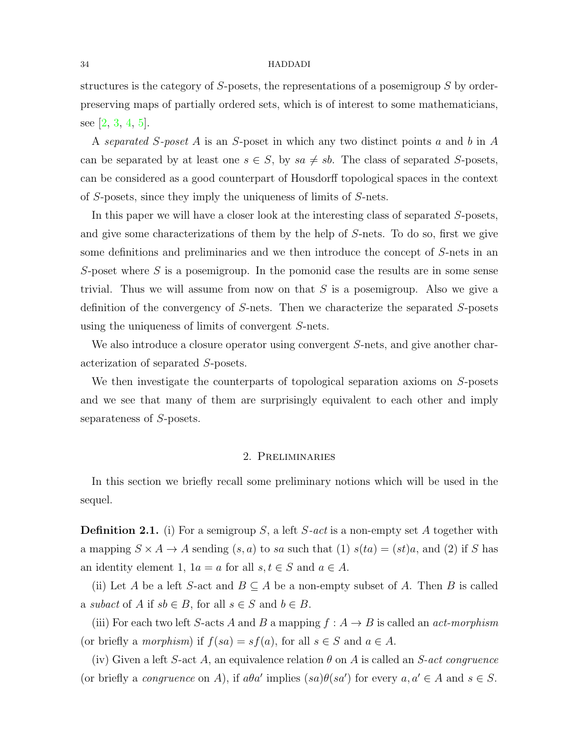#### 34 HADDADI

structures is the category of *S*-posets, the representations of a posemigroup *S* by orderpreserving maps of partially ordered sets, which is of interest to some mathematicians, see [\[2](#page-10-1), [3](#page-10-2), [4](#page-10-3), [5](#page-10-4)].

A *separated S-poset A* is an *S*-poset in which any two distinct points *a* and *b* in *A* can be separated by at least one  $s \in S$ , by  $sa \neq sb$ . The class of separated *S*-posets, can be considered as a good counterpart of Housdorff topological spaces in the context of *S*-posets, since they imply the uniqueness of limits of *S*-nets.

In this paper we will have a closer look at the interesting class of separated *S*-posets, and give some characterizations of them by the help of *S*-nets. To do so, first we give some definitions and preliminaries and we then introduce the concept of *S*-nets in an *S*-poset where *S* is a posemigroup. In the pomonid case the results are in some sense trivial. Thus we will assume from now on that *S* is a posemigroup. Also we give a definition of the convergency of *S*-nets. Then we characterize the separated *S*-posets using the uniqueness of limits of convergent *S*-nets.

We also introduce a closure operator using convergent *S*-nets, and give another characterization of separated *S*-posets.

We then investigate the counterparts of topological separation axioms on *S*-posets and we see that many of them are surprisingly equivalent to each other and imply separateness of *S*-posets.

## 2. Preliminaries

In this section we briefly recall some preliminary notions which will be used in the sequel.

<span id="page-1-0"></span>**Definition 2.1.** (i) For a semigroup *S*, a left *S-act* is a non-empty set *A* together with a mapping  $S \times A \rightarrow A$  sending  $(s, a)$  to *sa* such that (1)  $s(ta) = (st)a$ , and (2) if *S* has an identity element 1,  $1a = a$  for all  $s, t \in S$  and  $a \in A$ .

(ii) Let *A* be a left *S*-act and  $B \subseteq A$  be a non-empty subset of *A*. Then *B* is called a *subact* of *A* if  $sb \in B$ , for all  $s \in S$  and  $b \in B$ .

(iii) For each two left *S*-acts *A* and *B* a mapping  $f : A \rightarrow B$  is called an *act-morphism* (or briefly a *morphism*) if  $f(sa) = sf(a)$ , for all  $s \in S$  and  $a \in A$ .

(iv) Given a left *S*-act *A*, an equivalence relation  $\theta$  on *A* is called an *S*-act congruence (or briefly a *congruence* on *A*), if  $a\theta a'$  implies  $(sa)\theta(sa')$  for every  $a, a' \in A$  and  $s \in S$ .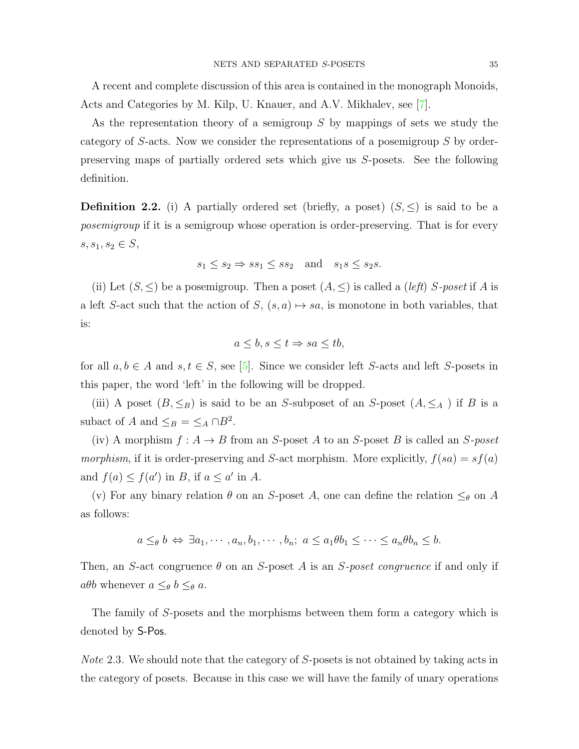A recent and complete discussion of this area is contained in the monograph Monoids, Acts and Categories by M. Kilp, U. Knauer, and A.V. Mikhalev, see [[7](#page-10-5)].

As the representation theory of a semigroup *S* by mappings of sets we study the category of *S*-acts. Now we consider the representations of a posemigroup *S* by orderpreserving maps of partially ordered sets which give us *S*-posets. See the following definition.

**Definition 2.2.** (i) A partially ordered set (briefly, a poset)  $(S, \leq)$  is said to be a *posemigroup* if it is a semigroup whose operation is order-preserving. That is for every *s*, *s*<sub>1</sub>, *s*<sub>2</sub>  $\in$  *S*,

$$
s_1 \le s_2 \Rightarrow ss_1 \le ss_2
$$
 and  $s_1s \le s_2s$ .

(ii) Let  $(S, \leq)$  be a posemigroup. Then a poset  $(A, \leq)$  is called a *(left) S*-poset if *A* is a left *S*-act such that the action of *S*,  $(s, a) \mapsto sa$ , is monotone in both variables, that is:

$$
a \le b, s \le t \Rightarrow sa \le tb,
$$

for all  $a, b \in A$  and  $s, t \in S$ , see [\[5\]](#page-10-4). Since we consider left *S*-acts and left *S*-posets in this paper, the word 'left' in the following will be dropped.

(iii) A poset  $(B, \leq_B)$  is said to be an *S*-subposet of an *S*-poset  $(A, \leq_A)$  if *B* is a subact of *A* and  $\leq_B$  =  $\leq_A \cap B^2$ .

(iv) A morphism  $f: A \rightarrow B$  from an *S*-poset *A* to an *S*-poset *B* is called an *S*-poset *morphism*, if it is order-preserving and *S*-act morphism. More explicitly,  $f(sa) = sf(a)$ and  $f(a) \le f(a')$  in *B*, if  $a \le a'$  in *A*.

(v) For any binary relation  $\theta$  on an *S*-poset *A*, one can define the relation  $\leq_{\theta}$  on *A* as follows:

$$
a \leq_{\theta} b \Leftrightarrow \exists a_1, \cdots, a_n, b_1, \cdots, b_n; a \leq a_1 \theta b_1 \leq \cdots \leq a_n \theta b_n \leq b.
$$

Then, an *S*-act congruence *θ* on an *S*-poset *A* is an *S-poset congruence* if and only if  $a\theta b$  whenever  $a \leq_{\theta} b \leq_{\theta} a$ .

The family of *S*-posets and the morphisms between them form a category which is denoted by S-Pos.

*Note* 2.3*.* We should note that the category of *S*-posets is not obtained by taking acts in the category of posets. Because in this case we will have the family of unary operations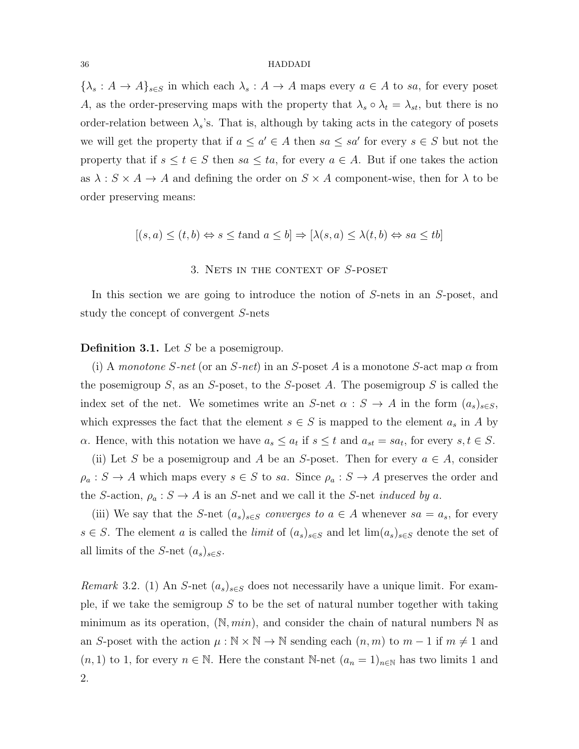#### 36 HADDADI

 $\{\lambda_s : A \to A\}_{s \in S}$  in which each  $\lambda_s : A \to A$  maps every  $a \in A$  to *sa*, for every poset *A*, as the order-preserving maps with the property that  $\lambda_s \circ \lambda_t = \lambda_{st}$ , but there is no order-relation between  $\lambda_s$ 's. That is, although by taking acts in the category of posets we will get the property that if  $a \leq a' \in A$  then  $sa \leq sa'$  for every  $s \in S$  but not the property that if  $s \le t \in S$  then  $sa \le ta$ , for every  $a \in A$ . But if one takes the action as  $\lambda : S \times A \rightarrow A$  and defining the order on  $S \times A$  component-wise, then for  $\lambda$  to be order preserving means:

$$
[(s, a) \le (t, b) \Leftrightarrow s \le \text{tand } a \le b] \Rightarrow [\lambda(s, a) \le \lambda(t, b) \Leftrightarrow sa \le \text{tb}]
$$

### 3. Nets in the context of *S*-poset

In this section we are going to introduce the notion of *S*-nets in an *S*-poset, and study the concept of convergent *S*-nets

# <span id="page-3-0"></span>**Definition 3.1.** Let *S* be a posemigroup.

(i) A *monotone*  $S$ -net (or an  $S$ -net) in an  $S$ -poset  $A$  is a monotone  $S$ -act map  $\alpha$  from the posemigroup *S*, as an *S*-poset, to the *S*-poset *A*. The posemigroup *S* is called the index set of the net. We sometimes write an *S*-net  $\alpha : S \to A$  in the form  $(a_s)_{s \in S}$ , which expresses the fact that the element  $s \in S$  is mapped to the element  $a_s$  in A by *α*. Hence, with this notation we have  $a_s \leq a_t$  if  $s \leq t$  and  $a_{st} = sa_t$ , for every  $s, t \in S$ .

(ii) Let *S* be a posemigroup and *A* be an *S*-poset. Then for every  $a \in A$ , consider  $\rho_a: S \to A$  which maps every  $s \in S$  to *sa*. Since  $\rho_a: S \to A$  preserves the order and the *S*-action,  $\rho_a: S \to A$  is an *S*-net and we call it the *S*-net *induced by a*.

(iii) We say that the *S*-net  $(a_s)_{s \in S}$  *converges to*  $a \in A$  whenever  $sa = a_s$ , for every *s* ∈ *S*. The element *a* is called the *limit* of  $(a_s)_{s \in S}$  and let  $\lim(a_s)_{s \in S}$  denote the set of all limits of the *S*-net  $(a_s)_{s \in S}$ .

*Remark* 3.2. (1) An *S*-net  $(a_s)_{s \in S}$  does not necessarily have a unique limit. For example, if we take the semigroup *S* to be the set of natural number together with taking minimum as its operation,  $(N, min)$ , and consider the chain of natural numbers N as an *S*-poset with the action  $\mu : \mathbb{N} \times \mathbb{N} \to \mathbb{N}$  sending each  $(n, m)$  to  $m - 1$  if  $m \neq 1$  and  $(n, 1)$  to 1, for every  $n \in \mathbb{N}$ . Here the constant N-net  $(a_n = 1)_{n \in \mathbb{N}}$  has two limits 1 and 2.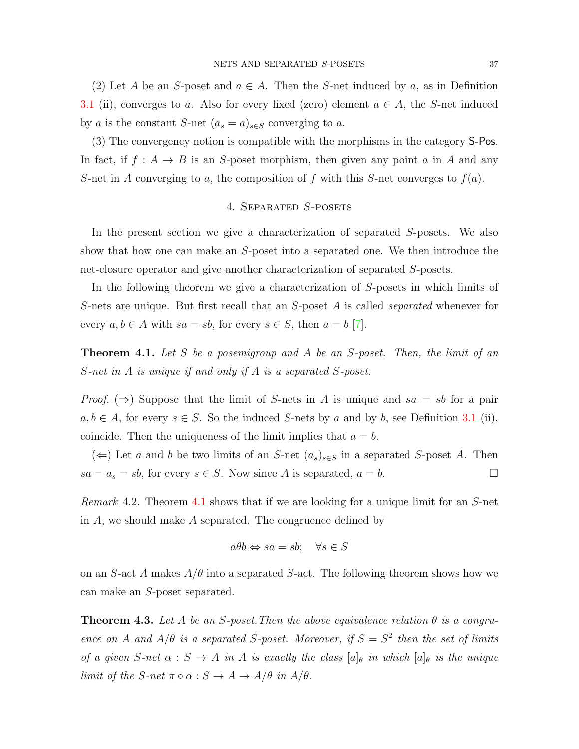(2) Let *A* be an *S*-poset and  $a \in A$ . Then the *S*-net induced by *a*, as in Definition [3.1](#page-3-0) (ii), converges to *a*. Also for every fixed (zero) element  $a \in A$ , the *S*-net induced by *a* is the constant *S*-net  $(a_s = a)_{s \in S}$  converging to *a*.

(3) The convergency notion is compatible with the morphisms in the category S-Pos. In fact, if  $f : A \rightarrow B$  is an *S*-poset morphism, then given any point *a* in *A* and any *S*-net in *A* converging to *a*, the composition of *f* with this *S*-net converges to *f*(*a*).

# 4. Separated *S*-posets

In the present section we give a characterization of separated *S*-posets. We also show that how one can make an *S*-poset into a separated one. We then introduce the net-closure operator and give another characterization of separated *S*-posets.

In the following theorem we give a characterization of *S*-posets in which limits of *S*-nets are unique. But first recall that an *S*-poset *A* is called *separated* whenever for every  $a, b \in A$  with  $sa = sb$ , for every  $s \in S$ , then  $a = b$  [[7\]](#page-10-5).

<span id="page-4-0"></span>**Theorem 4.1.** *Let S be a posemigroup and A be an S-poset. Then, the limit of an S-net in A is unique if and only if A is a separated S-poset.*

*Proof.*  $(\Rightarrow)$  Suppose that the limit of *S*-nets in *A* is unique and *sa* = *sb* for a pair *a, b* ∈ *A*, for every *s* ∈ *S*. So the induced *S*-nets by *a* and by *b*, see Definition [3.1](#page-3-0) (ii), coincide. Then the uniqueness of the limit implies that  $a = b$ .

(*⇐*) Let *a* and *b* be two limits of an *S*-net  $(a_s)_{s \in S}$  in a separated *S*-poset *A*. Then  $sa = a_s = sb$ , for every  $s \in S$ . Now since *A* is separated,  $a = b$ .

*Remark* 4.2*.* Theorem [4.1](#page-4-0) shows that if we are looking for a unique limit for an *S*-net in *A*, we should make *A* separated. The congruence defined by

$$
a\theta b \Leftrightarrow sa = sb; \quad \forall s \in S
$$

on an *S*-act *A* makes  $A/\theta$  into a separated *S*-act. The following theorem shows how we can make an *S*-poset separated.

**Theorem 4.3.** Let A be an S-poset. Then the above equivalence relation  $\theta$  is a congru*ence on A* and  $A/\theta$  *is a separated S*-poset. Moreover, if  $S = S^2$  then the set of limits *of a given*  $S$ -net  $\alpha : S \to A$  *in*  $A$  *is exactly the class*  $[a]_\theta$  *in which*  $[a]_\theta$  *is the unique limit of the*  $S$ *-net*  $\pi \circ \alpha : S \to A \to A/\theta$  *in*  $A/\theta$ *.*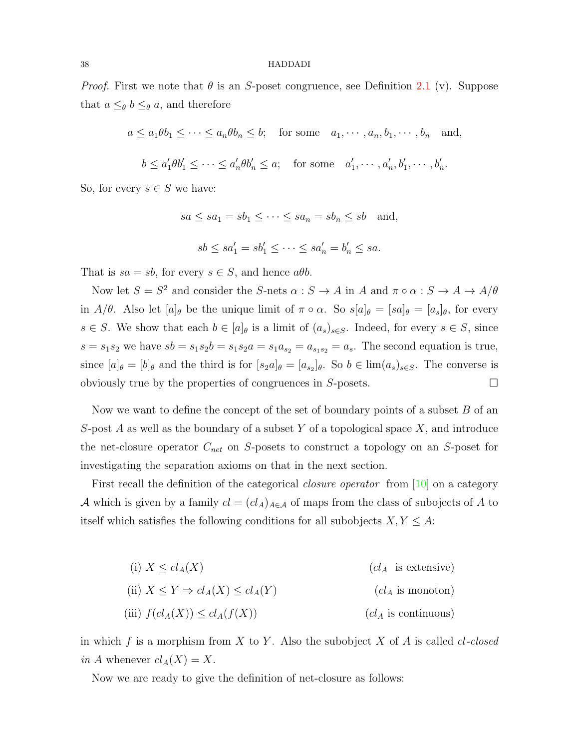#### 38 HADDADI

*Proof.* First we note that *θ* is an *S*-poset congruence, see Definition [2.1](#page-1-0) (v). Suppose that  $a \leq_{\theta} b \leq_{\theta} a$ , and therefore

 $a \leq a_1 \theta b_1 \leq \cdots \leq a_n \theta b_n \leq b;$  for some  $a_1, \cdots, a_n, b_1, \cdots, b_n$  and,

$$
b \le a'_1 \theta b'_1 \le \dots \le a'_n \theta b'_n \le a; \quad \text{for some} \quad a'_1, \dots, a'_n, b'_1, \dots, b'_n.
$$

So, for every  $s \in S$  we have:

$$
sa \le sa_1 = sb_1 \le \cdots \le sa_n = sb_n \le sb \quad \text{and},
$$

 $sb \le sa'_1 = sb'_1 \le \cdots \le sa'_n = b'_n \le sa.$ 

That is  $sa = sb$ , for every  $s \in S$ , and hence  $a\theta b$ .

Now let  $S = S^2$  and consider the *S*-nets  $\alpha : S \to A$  in *A* and  $\pi \circ \alpha : S \to A \to A/\theta$ in *A/θ*. Also let  $[a]_\theta$  be the unique limit of  $\pi \circ \alpha$ . So  $s[a]_\theta = [sa]_\theta = [a_s]_\theta$ , for every *s* ∈ *S*. We show that each *b* ∈  $[a]_θ$  is a limit of  $(a_s)_{s \in S}$ . Indeed, for every *s* ∈ *S*, since  $s = s_1 s_2$  we have  $s b = s_1 s_2 b = s_1 s_2 a = s_1 a_{s_2} = a_{s_1 s_2} = a_s$ . The second equation is true, since  $[a]_\theta = [b]_\theta$  and the third is for  $[s_2a]_\theta = [a_{s_2}]_\theta$ . So  $b \in \lim(a_s)_{s \in S}$ . The converse is obviously true by the properties of congruences in  $S$ -posets.  $\Box$ 

Now we want to define the concept of the set of boundary points of a subset *B* of an *S*-post *A* as well as the boundary of a subset *Y* of a topological space *X*, and introduce the net-closure operator *Cnet* on *S*-posets to construct a topology on an *S*-poset for investigating the separation axioms on that in the next section.

First recall the definition of the categorical *closure operator* from [\[10](#page-10-6)] on a category *A* which is given by a family  $cl = (cl_A)_{A \in \mathcal{A}}$  of maps from the class of subojects of *A* to itself which satisfies the following conditions for all subobjects  $X, Y \leq A$ :

(i) 
$$
X \le cl_A(X)
$$
  $(cl_A \text{ is extensive})$   
\n(ii)  $X \le Y \Rightarrow cl_A(X) \le cl_A(Y)$   $(cl_A \text{ is monotone})$   
\n(iii)  $f(cl_A(X)) \le cl_A(f(X))$   $(cl_A \text{ is continuous})$ 

in which *f* is a morphism from *X* to *Y* . Also the subobject *X* of *A* is called *cl-closed in A* whenever  $cl_A(X) = X$ .

Now we are ready to give the definition of net-closure as follows: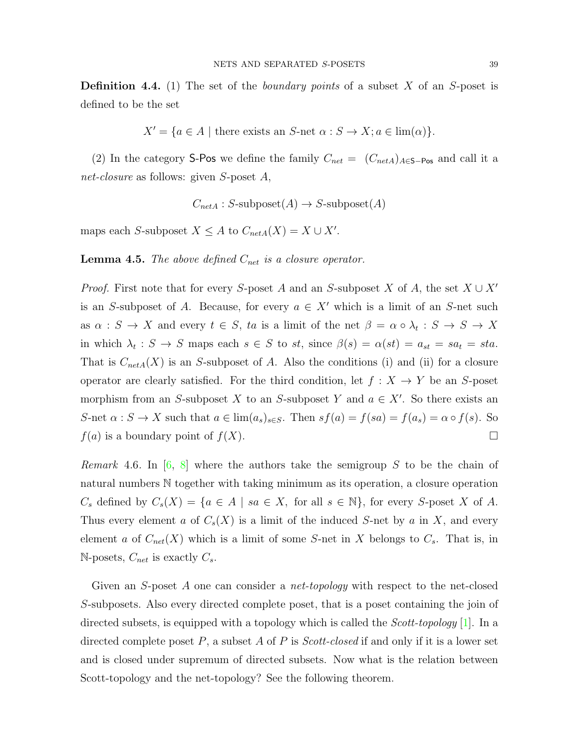**Definition 4.4.** (1) The set of the *boundary points* of a subset *X* of an *S*-poset is defined to be the set

$$
X' = \{ a \in A \mid \text{there exists an } S \text{-net } \alpha : S \to X; a \in \lim(\alpha) \}.
$$

(2) In the category S-Pos we define the family  $C_{net} = (C_{netA})_{A \in S - P_{OS}}$  and call it a *net-closure* as follows: given *S*-poset *A*,

$$
C_{netA}: S\text{-subposet}(A) \to S\text{-subposet}(A)
$$

maps each *S*-subposet  $X \leq A$  to  $C_{netA}(X) = X \cup X'$ .

**Lemma 4.5.** *The above defined Cnet is a closure operator.*

*Proof.* First note that for every *S*-poset *A* and an *S*-subposet *X* of *A*, the set *X ∪ X′* is an *S*-subposet of *A*. Because, for every  $a \in X'$  which is a limit of an *S*-net such as  $\alpha : S \to X$  and every  $t \in S$ ,  $ta$  is a limit of the net  $\beta = \alpha \circ \lambda_t : S \to S \to X$ in which  $\lambda_t : S \to S$  maps each  $s \in S$  to  $st$ , since  $\beta(s) = \alpha(st) = a_{st} = sta$ . That is  $C_{netA}(X)$  is an *S*-subposet of *A*. Also the conditions (i) and (ii) for a closure operator are clearly satisfied. For the third condition, let  $f: X \to Y$  be an *S*-poset morphism from an *S*-subposet *X* to an *S*-subposet *Y* and  $a \in X'$ . So there exists an S-net  $\alpha : S \to X$  such that  $a \in \lim(a_s)_{s \in S}$ . Then  $sf(a) = f(sa) = f(a_s) = \alpha \circ f(s)$ . So  $f(a)$  is a boundary point of  $f(X)$ .

*Remark* 4.6*.* In [[6,](#page-10-7) [8\]](#page-10-8) where the authors take the semigroup *S* to be the chain of natural numbers N together with taking minimum as its operation, a closure operation  $C_s$  defined by  $C_s(X) = \{a \in A \mid sa \in X, \text{ for all } s \in \mathbb{N}\},\$ for every *S*-poset *X* of *A*. Thus every element *a* of  $C_s(X)$  is a limit of the induced *S*-net by *a* in *X*, and every element *a* of  $C_{net}(X)$  which is a limit of some *S*-net in *X* belongs to  $C_s$ . That is, in N-posets,  $C_{net}$  is exactly  $C_s$ .

Given an *S*-poset *A* one can consider a *net-topology* with respect to the net-closed *S*-subposets. Also every directed complete poset, that is a poset containing the join of directed subsets, is equipped with a topology which is called the *Scott-topology* [[1](#page-10-9)]. In a directed complete poset *P*, a subset *A* of *P* is *Scott-closed* if and only if it is a lower set and is closed under supremum of directed subsets. Now what is the relation between Scott-topology and the net-topology? See the following theorem.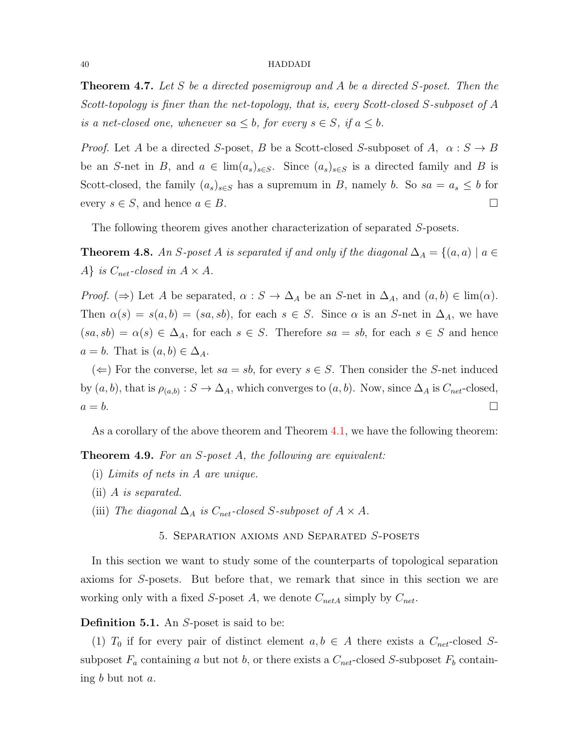**Theorem 4.7.** *Let S be a directed posemigroup and A be a directed S-poset. Then the Scott-topology is finer than the net-topology, that is, every Scott-closed S-subposet of A is a net-closed one, whenever*  $sa \leq b$ , for every  $s \in S$ , if  $a \leq b$ .

*Proof.* Let *A* be a directed *S*-poset, *B* be a Scott-closed *S*-subposet of *A*,  $\alpha : S \to B$ be an *S*-net in *B*, and  $a \in \lim(a_s)_{s \in S}$ . Since  $(a_s)_{s \in S}$  is a directed family and *B* is Scott-closed, the family  $(a_s)_{s \in S}$  has a supremum in *B*, namely *b*. So  $sa = a_s \leq b$  for every  $s \in S$ , and hence  $a \in B$ .

The following theorem gives another characterization of separated *S*-posets.

**Theorem 4.8.** *An S*-poset *A* is separated if and only if the diagonal  $\Delta_A = \{(a, a) \mid a \in A\}$ *A} is*  $C_{net}$ -closed in  $A \times A$ .

*Proof.* ( $\Rightarrow$ ) Let *A* be separated,  $\alpha$  :  $S \rightarrow \Delta_A$  be an *S*-net in  $\Delta_A$ , and  $(a, b) \in \lim(\alpha)$ . Then  $\alpha(s) = s(a, b) = (sa, sb)$ , for each  $s \in S$ . Since  $\alpha$  is an *S*-net in  $\Delta_A$ , we have  $(sa, sb) = \alpha(s) \in \Delta_A$ , for each  $s \in S$ . Therefore  $sa = sb$ , for each  $s \in S$  and hence  $a = b$ . That is  $(a, b) \in \Delta_A$ .

( $\Leftarrow$ ) For the converse, let *sa* = *sb*, for every *s* ∈ *S*. Then consider the *S*-net induced by  $(a, b)$ , that is  $\rho_{(a,b)}$ :  $S \to \Delta_A$ , which converges to  $(a, b)$ . Now, since  $\Delta_A$  is  $C_{net}$ -closed,  $a = b$ .

As a corollary of the above theorem and Theorem [4.1,](#page-4-0) we have the following theorem:

<span id="page-7-0"></span>**Theorem 4.9.** *For an S-poset A, the following are equivalent:*

- (i) *Limits of nets in A are unique.*
- (ii) *A is separated.*
- (iii) *The diagonal*  $\Delta_A$  *is*  $C_{net}$ -closed *S*-subposet of  $A \times A$ .

5. Separation axioms and Separated *S*-posets

In this section we want to study some of the counterparts of topological separation axioms for *S*-posets. But before that, we remark that since in this section we are working only with a fixed *S*-poset *A*, we denote  $C_{netA}$  simply by  $C_{net}$ .

# **Definition 5.1.** An *S*-poset is said to be:

(1)  $T_0$  if for every pair of distinct element  $a, b \in A$  there exists a  $C_{net}$ -closed Ssubposet  $F_a$  containing *a* but not *b*, or there exists a  $C_{net}$ -closed *S*-subposet  $F_b$  containing *b* but not *a*.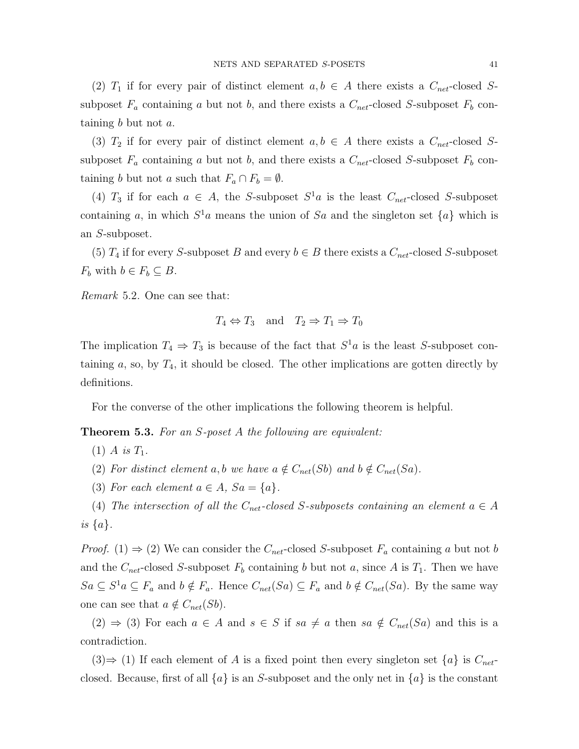(2)  $T_1$  if for every pair of distinct element  $a, b \in A$  there exists a  $C_{net}$ -closed Ssubposet  $F_a$  containing *a* but not *b*, and there exists a  $C_{net}$ -closed *S*-subposet  $F_b$  containing *b* but not *a*.

(3)  $T_2$  if for every pair of distinct element  $a, b \in A$  there exists a  $C_{net}$ -closed Ssubposet  $F_a$  containing *a* but not *b*, and there exists a  $C_{net}$ -closed *S*-subposet  $F_b$  containing *b* but not *a* such that  $F_a \cap F_b = \emptyset$ .

(4)  $T_3$  if for each  $a \in A$ , the *S*-subposet  $S^1a$  is the least  $C_{net}$ -closed *S*-subposet containing *a*, in which  $S^1a$  means the union of S*a* and the singleton set  $\{a\}$  which is an *S*-subposet.

(5)  $T_4$  if for every *S*-subposet *B* and every  $b \in B$  there exists a  $C_{net}$ -closed *S*-subposet *F*<sup>*b*</sup> with  $b \in F_b \subseteq B$ .

*Remark* 5.2*.* One can see that:

$$
T_4 \Leftrightarrow T_3
$$
 and  $T_2 \Rightarrow T_1 \Rightarrow T_0$ 

The implication  $T_4 \Rightarrow T_3$  is because of the fact that  $S^1a$  is the least *S*-subposet containing  $a$ , so, by  $T_4$ , it should be closed. The other implications are gotten directly by definitions.

For the converse of the other implications the following theorem is helpful.

<span id="page-8-0"></span>**Theorem 5.3.** *For an S-poset A the following are equivalent:*

- $(1)$  *A is*  $T_1$ *.*
- (2) For distinct element  $a, b$  we have  $a \notin C_{net}(Sb)$  and  $b \notin C_{net}(Sa)$ .
- (3) For each element  $a \in A$ ,  $Sa = \{a\}$ .

(4) *The intersection of all the*  $C_{net}$ -closed *S*-subposets containing an element  $a \in A$ *is {a}.*

*Proof.* (1)  $\Rightarrow$  (2) We can consider the *C*<sub>net</sub>-closed *S*-subposet  $F_a$  containing *a* but not *b* and the  $C_{net}$ -closed *S*-subposet  $F_b$  containing *b* but not *a*, since *A* is  $T_1$ . Then we have  $Sa \subseteq S^1a \subseteq F_a$  and  $b \notin F_a$ . Hence  $C_{net}(Sa) \subseteq F_a$  and  $b \notin C_{net}(Sa)$ . By the same way one can see that  $a \notin C_{net}(Sb)$ .

(2)  $\Rightarrow$  (3) For each *a* ∈ *A* and *s* ∈ *S* if *sa*  $\neq$  *a* then *sa*  $\notin C_{net}(Sa)$  and this is a contradiction.

(3)  $\Rightarrow$  (1) If each element of *A* is a fixed point then every singleton set  $\{a\}$  is  $C_{net}$ closed. Because, first of all  $\{a\}$  is an *S*-subposet and the only net in  $\{a\}$  is the constant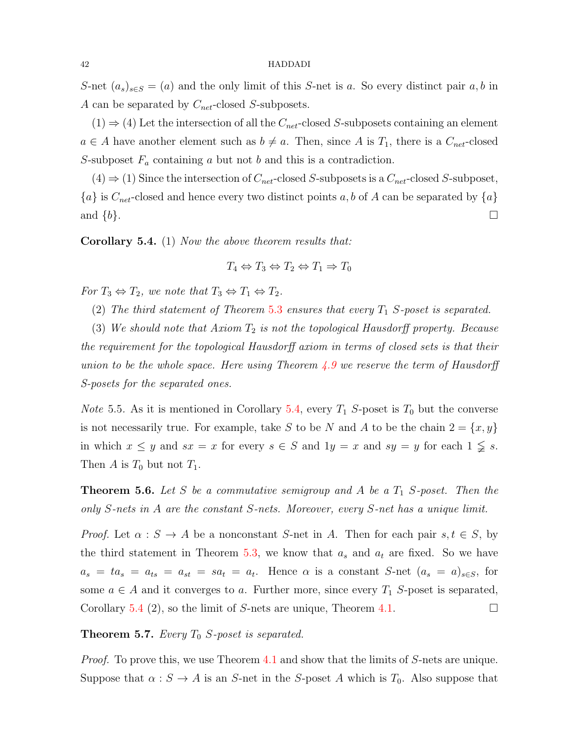*S*-net  $(a_s)_{s \in S} = (a)$  and the only limit of this *S*-net is *a*. So every distinct pair *a*, *b* in *A* can be separated by *Cnet*-closed *S*-subposets.

 $(1) \Rightarrow (4)$  Let the intersection of all the  $C_{net}$ -closed *S*-subposets containing an element  $a \in A$  have another element such as  $b \neq a$ . Then, since A is  $T_1$ , there is a  $C_{net}$ -closed *S*-subposet *F<sup>a</sup>* containing *a* but not *b* and this is a contradiction.

 $(4) \Rightarrow (1)$  Since the intersection of  $C_{net}$ -closed *S*-subposets is a  $C_{net}$ -closed *S*-subposet,  ${a}$  is  $C_{net}$ -closed and hence every two distinct points *a, b* of *A* can be separated by  ${a}$ and  $\{b\}$ .

<span id="page-9-0"></span>**Corollary 5.4.** (1) *Now the above theorem results that:*

$$
T_4 \Leftrightarrow T_3 \Leftrightarrow T_2 \Leftrightarrow T_1 \Rightarrow T_0
$$

*For*  $T_3 \Leftrightarrow T_2$ , we note that  $T_3 \Leftrightarrow T_1 \Leftrightarrow T_2$ .

(2) *The third statement of Theorem* [5.3](#page-8-0) *ensures that every T*<sup>1</sup> *S-poset is separated.*

(3) *We should note that Axiom T*<sup>2</sup> *is not the topological Hausdorff property. Because the requirement for the topological Hausdorff axiom in terms of closed sets is that their union to be the whole space. Here using Theorem [4.9](#page-7-0) we reserve the term of Hausdorff S-posets for the separated ones.*

*Note* 5.5. As it is mentioned in Corollary [5.4](#page-9-0), every  $T_1$  *S*-poset is  $T_0$  but the converse is not necessarily true. For example, take *S* to be *N* and *A* to be the chain  $2 = \{x, y\}$ in which  $x \leq y$  and  $sx = x$  for every  $s \in S$  and  $1y = x$  and  $sy = y$  for each  $1 \leq s$ . Then  $A$  is  $T_0$  but not  $T_1$ .

**Theorem 5.6.** *Let S be a commutative semigroup and A be a T*<sup>1</sup> *S-poset. Then the only S-nets in A are the constant S-nets. Moreover, every S-net has a unique limit.*

*Proof.* Let  $\alpha : S \to A$  be a nonconstant *S*-net in *A*. Then for each pair  $s, t \in S$ , by the third statement in Theorem [5.3](#page-8-0), we know that  $a_s$  and  $a_t$  are fixed. So we have  $a_s = ta_s = a_{ts} = a_{st} = sa_t = a_t$ . Hence  $\alpha$  is a constant *S*-net  $(a_s = a)_{s \in S}$ , for some  $a \in A$  and it converges to a. Further more, since every  $T_1$  *S*-poset is separated, Corollary [5.4](#page-9-0) (2), so the limit of *S*-nets are unique, Theorem [4.1](#page-4-0).  $\Box$ 

**Theorem 5.7.** *Every T*<sup>0</sup> *S-poset is separated.*

*Proof.* To prove this, we use Theorem [4.1](#page-4-0) and show that the limits of *S*-nets are unique. Suppose that  $\alpha : S \to A$  is an *S*-net in the *S*-poset *A* which is  $T_0$ . Also suppose that